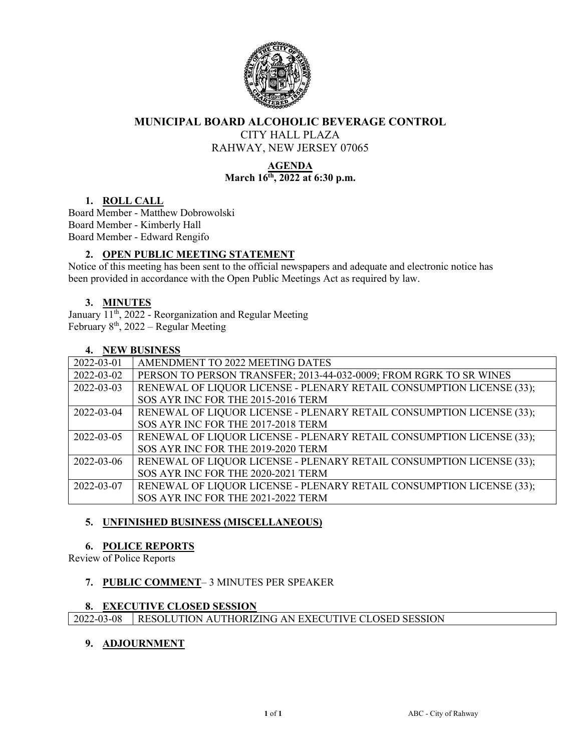

### **MUNICIPAL BOARD ALCOHOLIC BEVERAGE CONTROL**

CITY HALL PLAZA RAHWAY, NEW JERSEY 07065

# **AGENDA March 16th, 2022 at 6:30 p.m.**

### **1. ROLL CALL**

Board Member - Matthew Dobrowolski Board Member - Kimberly Hall Board Member - Edward Rengifo

# **2. OPEN PUBLIC MEETING STATEMENT**

Notice of this meeting has been sent to the official newspapers and adequate and electronic notice has been provided in accordance with the Open Public Meetings Act as required by law.

### **3. MINUTES**

January  $11^{th}$ , 2022 - Reorganization and Regular Meeting February  $8<sup>th</sup>$ , 2022 – Regular Meeting

### **4. NEW BUSINESS**

| 2022-03-01 | AMENDMENT TO 2022 MEETING DATES                                      |
|------------|----------------------------------------------------------------------|
| 2022-03-02 | PERSON TO PERSON TRANSFER; 2013-44-032-0009; FROM RGRK TO SR WINES   |
| 2022-03-03 | RENEWAL OF LIQUOR LICENSE - PLENARY RETAIL CONSUMPTION LICENSE (33); |
|            | SOS AYR INC FOR THE 2015-2016 TERM                                   |
| 2022-03-04 | RENEWAL OF LIQUOR LICENSE - PLENARY RETAIL CONSUMPTION LICENSE (33); |
|            | SOS AYR INC FOR THE 2017-2018 TERM                                   |
| 2022-03-05 | RENEWAL OF LIQUOR LICENSE - PLENARY RETAIL CONSUMPTION LICENSE (33); |
|            | SOS AYR INC FOR THE 2019-2020 TERM                                   |
| 2022-03-06 | RENEWAL OF LIQUOR LICENSE - PLENARY RETAIL CONSUMPTION LICENSE (33); |
|            | SOS AYR INC FOR THE 2020-2021 TERM                                   |
| 2022-03-07 | RENEWAL OF LIQUOR LICENSE - PLENARY RETAIL CONSUMPTION LICENSE (33); |
|            | SOS AYR INC FOR THE 2021-2022 TERM                                   |

## **5. UNFINISHED BUSINESS (MISCELLANEOUS)**

### **6. POLICE REPORTS**

Review of Police Reports

## **7. PUBLIC COMMENT**– 3 MINUTES PER SPEAKER

### **8. EXECUTIVE CLOSED SESSION**

2022-03-08 RESOLUTION AUTHORIZING AN EXECUTIVE CLOSED SESSION

### **9. ADJOURNMENT**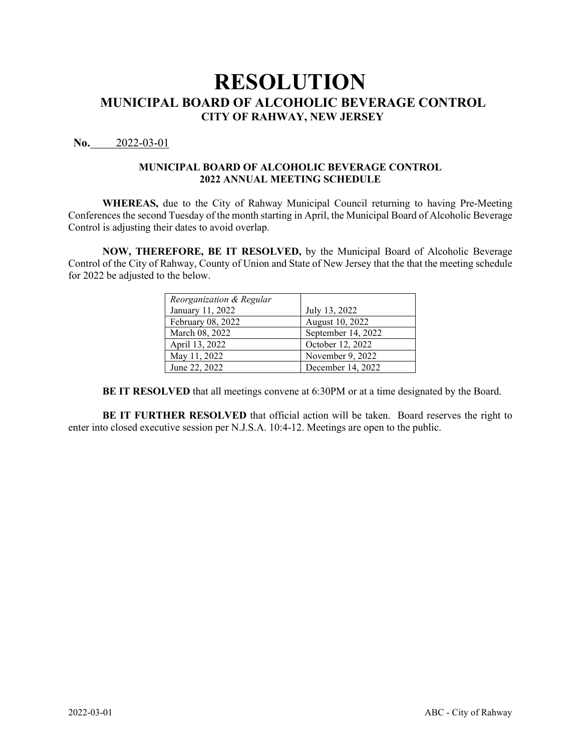## **No.** 2022-03-01

### **MUNICIPAL BOARD OF ALCOHOLIC BEVERAGE CONTROL 2022 ANNUAL MEETING SCHEDULE**

**WHEREAS,** due to the City of Rahway Municipal Council returning to having Pre-Meeting Conferences the second Tuesday of the month starting in April, the Municipal Board of Alcoholic Beverage Control is adjusting their dates to avoid overlap.

**NOW, THEREFORE, BE IT RESOLVED,** by the Municipal Board of Alcoholic Beverage Control of the City of Rahway, County of Union and State of New Jersey that the that the meeting schedule for 2022 be adjusted to the below.

| Reorganization & Regular |                    |
|--------------------------|--------------------|
| January 11, 2022         | July 13, 2022      |
| February 08, 2022        | August 10, 2022    |
| March 08, 2022           | September 14, 2022 |
| April 13, 2022           | October 12, 2022   |
| May 11, 2022             | November 9, 2022   |
| June 22, 2022            | December 14, 2022  |

**BE IT RESOLVED** that all meetings convene at 6:30PM or at a time designated by the Board.

**BE IT FURTHER RESOLVED** that official action will be taken. Board reserves the right to enter into closed executive session per N.J.S.A. 10:4-12. Meetings are open to the public.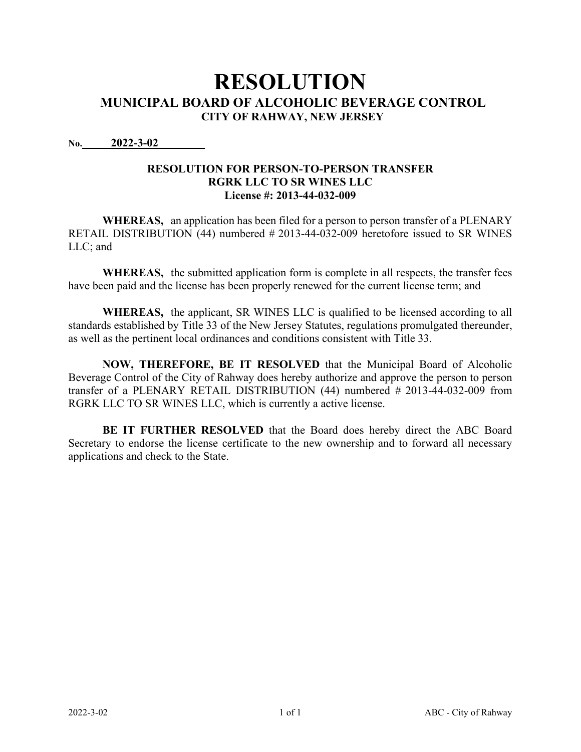**No. 2022-3-02 Date of Adoption: March 8th, 2022-3-02** 

# **RESOLUTION FOR PERSON-TO-PERSON TRANSFER RGRK LLC TO SR WINES LLC License #: 2013-44-032-009**

**WHEREAS,** an application has been filed for a person to person transfer of a PLENARY RETAIL DISTRIBUTION (44) numbered # 2013-44-032-009 heretofore issued to SR WINES LLC; and

**WHEREAS,** the submitted application form is complete in all respects, the transfer fees have been paid and the license has been properly renewed for the current license term; and

**WHEREAS,** the applicant, SR WINES LLC is qualified to be licensed according to all standards established by Title 33 of the New Jersey Statutes, regulations promulgated thereunder, as well as the pertinent local ordinances and conditions consistent with Title 33.

**NOW, THEREFORE, BE IT RESOLVED** that the Municipal Board of Alcoholic Beverage Control of the City of Rahway does hereby authorize and approve the person to person transfer of a PLENARY RETAIL DISTRIBUTION (44) numbered # 2013-44-032-009 from RGRK LLC TO SR WINES LLC, which is currently a active license.

**BE IT FURTHER RESOLVED** that the Board does hereby direct the ABC Board Secretary to endorse the license certificate to the new ownership and to forward all necessary applications and check to the State.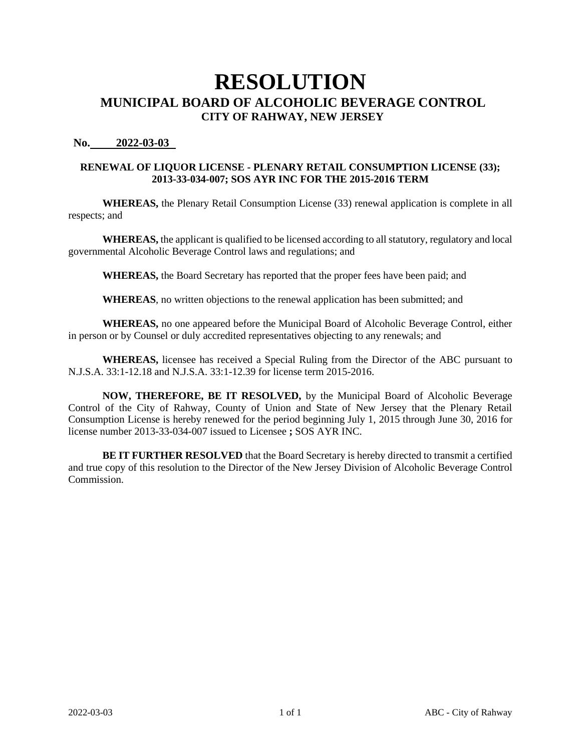### $N$ **o.**  $2022 - 03 - 03$

### **RENEWAL OF LIQUOR LICENSE - PLENARY RETAIL CONSUMPTION LICENSE (33); 2013-33-034-007; SOS AYR INC FOR THE 2015-2016 TERM**

**WHEREAS,** the Plenary Retail Consumption License (33) renewal application is complete in all respects; and

**WHEREAS,** the applicant is qualified to be licensed according to all statutory, regulatory and local governmental Alcoholic Beverage Control laws and regulations; and

**WHEREAS,** the Board Secretary has reported that the proper fees have been paid; and

**WHEREAS**, no written objections to the renewal application has been submitted; and

**WHEREAS,** no one appeared before the Municipal Board of Alcoholic Beverage Control, either in person or by Counsel or duly accredited representatives objecting to any renewals; and

**WHEREAS,** licensee has received a Special Ruling from the Director of the ABC pursuant to N.J.S.A. 33:1-12.18 and N.J.S.A. 33:1-12.39 for license term 2015-2016.

**NOW, THEREFORE, BE IT RESOLVED,** by the Municipal Board of Alcoholic Beverage Control of the City of Rahway, County of Union and State of New Jersey that the Plenary Retail Consumption License is hereby renewed for the period beginning July 1, 2015 through June 30, 2016 for license number 2013-33-034-007 issued to Licensee **;** SOS AYR INC.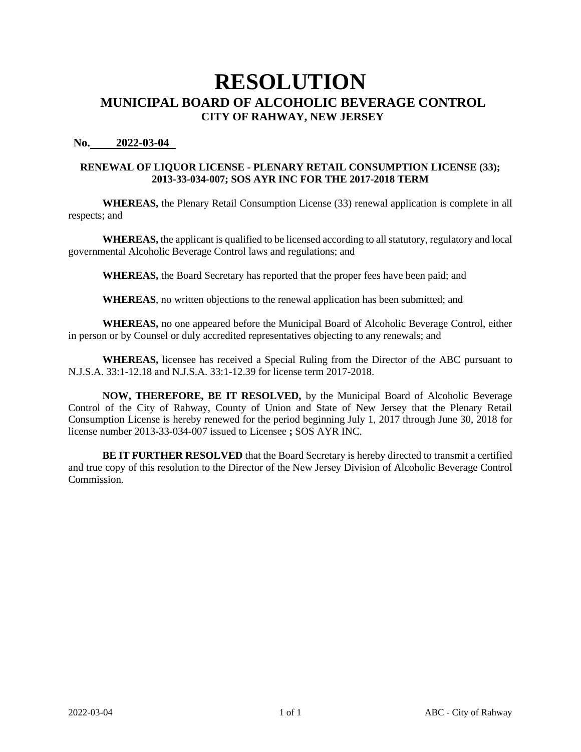### $N$ **o.**  $2022 - 03 - 04$

### **RENEWAL OF LIQUOR LICENSE - PLENARY RETAIL CONSUMPTION LICENSE (33); 2013-33-034-007; SOS AYR INC FOR THE 2017-2018 TERM**

**WHEREAS,** the Plenary Retail Consumption License (33) renewal application is complete in all respects; and

**WHEREAS,** the applicant is qualified to be licensed according to all statutory, regulatory and local governmental Alcoholic Beverage Control laws and regulations; and

**WHEREAS,** the Board Secretary has reported that the proper fees have been paid; and

**WHEREAS**, no written objections to the renewal application has been submitted; and

**WHEREAS,** no one appeared before the Municipal Board of Alcoholic Beverage Control, either in person or by Counsel or duly accredited representatives objecting to any renewals; and

**WHEREAS,** licensee has received a Special Ruling from the Director of the ABC pursuant to N.J.S.A. 33:1-12.18 and N.J.S.A. 33:1-12.39 for license term 2017-2018.

**NOW, THEREFORE, BE IT RESOLVED,** by the Municipal Board of Alcoholic Beverage Control of the City of Rahway, County of Union and State of New Jersey that the Plenary Retail Consumption License is hereby renewed for the period beginning July 1, 2017 through June 30, 2018 for license number 2013-33-034-007 issued to Licensee **;** SOS AYR INC.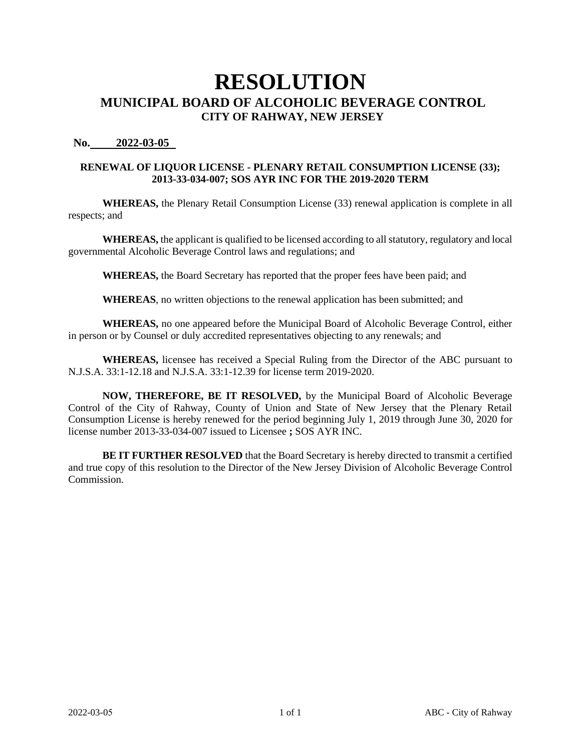### $N$ **o.**  $2022 - 03 - 05$

### **RENEWAL OF LIQUOR LICENSE - PLENARY RETAIL CONSUMPTION LICENSE (33); 2013-33-034-007; SOS AYR INC FOR THE 2019-2020 TERM**

**WHEREAS,** the Plenary Retail Consumption License (33) renewal application is complete in all respects; and

**WHEREAS,** the applicant is qualified to be licensed according to all statutory, regulatory and local governmental Alcoholic Beverage Control laws and regulations; and

**WHEREAS,** the Board Secretary has reported that the proper fees have been paid; and

**WHEREAS**, no written objections to the renewal application has been submitted; and

**WHEREAS,** no one appeared before the Municipal Board of Alcoholic Beverage Control, either in person or by Counsel or duly accredited representatives objecting to any renewals; and

**WHEREAS,** licensee has received a Special Ruling from the Director of the ABC pursuant to N.J.S.A. 33:1-12.18 and N.J.S.A. 33:1-12.39 for license term 2019-2020.

**NOW, THEREFORE, BE IT RESOLVED,** by the Municipal Board of Alcoholic Beverage Control of the City of Rahway, County of Union and State of New Jersey that the Plenary Retail Consumption License is hereby renewed for the period beginning July 1, 2019 through June 30, 2020 for license number 2013-33-034-007 issued to Licensee **;** SOS AYR INC.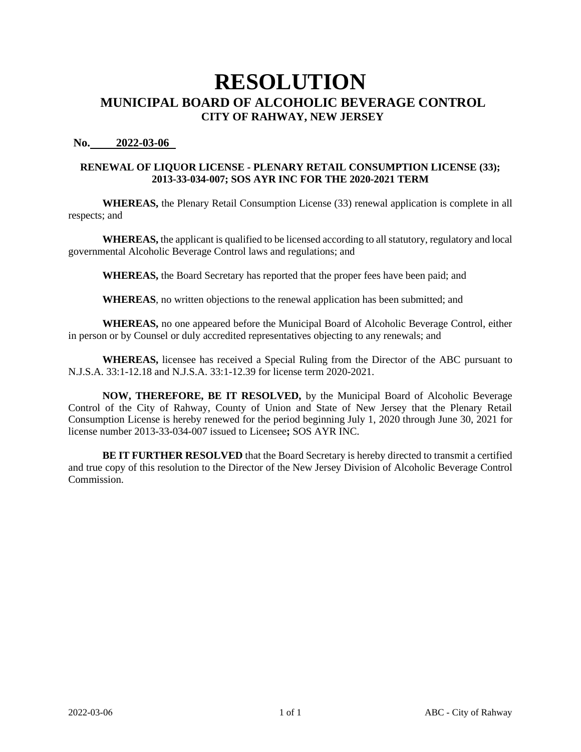### $N$ **o.**  $2022 - 03 - 06$

### **RENEWAL OF LIQUOR LICENSE - PLENARY RETAIL CONSUMPTION LICENSE (33); 2013-33-034-007; SOS AYR INC FOR THE 2020-2021 TERM**

**WHEREAS,** the Plenary Retail Consumption License (33) renewal application is complete in all respects; and

**WHEREAS,** the applicant is qualified to be licensed according to all statutory, regulatory and local governmental Alcoholic Beverage Control laws and regulations; and

**WHEREAS,** the Board Secretary has reported that the proper fees have been paid; and

**WHEREAS**, no written objections to the renewal application has been submitted; and

**WHEREAS,** no one appeared before the Municipal Board of Alcoholic Beverage Control, either in person or by Counsel or duly accredited representatives objecting to any renewals; and

**WHEREAS,** licensee has received a Special Ruling from the Director of the ABC pursuant to N.J.S.A. 33:1-12.18 and N.J.S.A. 33:1-12.39 for license term 2020-2021.

**NOW, THEREFORE, BE IT RESOLVED,** by the Municipal Board of Alcoholic Beverage Control of the City of Rahway, County of Union and State of New Jersey that the Plenary Retail Consumption License is hereby renewed for the period beginning July 1, 2020 through June 30, 2021 for license number 2013-33-034-007 issued to Licensee**;** SOS AYR INC.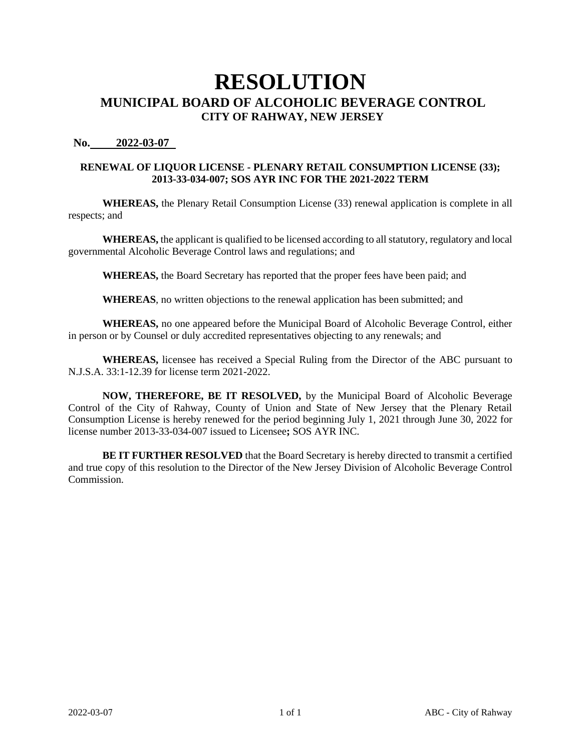### **No. 2022-03-07**

### **RENEWAL OF LIQUOR LICENSE - PLENARY RETAIL CONSUMPTION LICENSE (33); 2013-33-034-007; SOS AYR INC FOR THE 2021-2022 TERM**

**WHEREAS,** the Plenary Retail Consumption License (33) renewal application is complete in all respects; and

**WHEREAS,** the applicant is qualified to be licensed according to all statutory, regulatory and local governmental Alcoholic Beverage Control laws and regulations; and

**WHEREAS,** the Board Secretary has reported that the proper fees have been paid; and

**WHEREAS**, no written objections to the renewal application has been submitted; and

**WHEREAS,** no one appeared before the Municipal Board of Alcoholic Beverage Control, either in person or by Counsel or duly accredited representatives objecting to any renewals; and

**WHEREAS,** licensee has received a Special Ruling from the Director of the ABC pursuant to N.J.S.A. 33:1-12.39 for license term 2021-2022.

**NOW, THEREFORE, BE IT RESOLVED,** by the Municipal Board of Alcoholic Beverage Control of the City of Rahway, County of Union and State of New Jersey that the Plenary Retail Consumption License is hereby renewed for the period beginning July 1, 2021 through June 30, 2022 for license number 2013-33-034-007 issued to Licensee**;** SOS AYR INC.